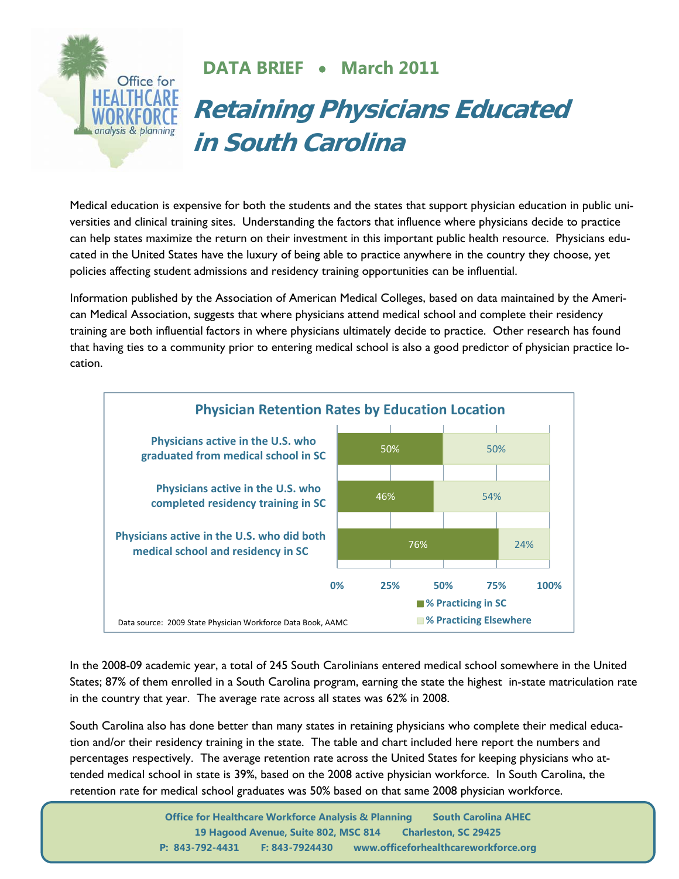

## **DATA BRIEF** • **March 2011**

## **Retaining Physicians Educated in South Carolina**

Medical education is expensive for both the students and the states that support physician education in public universities and clinical training sites. Understanding the factors that influence where physicians decide to practice can help states maximize the return on their investment in this important public health resource. Physicians educated in the United States have the luxury of being able to practice anywhere in the country they choose, yet policies affecting student admissions and residency training opportunities can be influential.

Information published by the Association of American Medical Colleges, based on data maintained by the American Medical Association, suggests that where physicians attend medical school and complete their residency training are both influential factors in where physicians ultimately decide to practice. Other research has found that having ties to a community prior to entering medical school is also a good predictor of physician practice location.



In the 2008-09 academic year, a total of 245 South Carolinians entered medical school somewhere in the United States; 87% of them enrolled in a South Carolina program, earning the state the highest in-state matriculation rate in the country that year. The average rate across all states was 62% in 2008.

South Carolina also has done better than many states in retaining physicians who complete their medical education and/or their residency training in the state. The table and chart included here report the numbers and percentages respectively. The average retention rate across the United States for keeping physicians who attended medical school in state is 39%, based on the 2008 active physician workforce. In South Carolina, the retention rate for medical school graduates was 50% based on that same 2008 physician workforce.